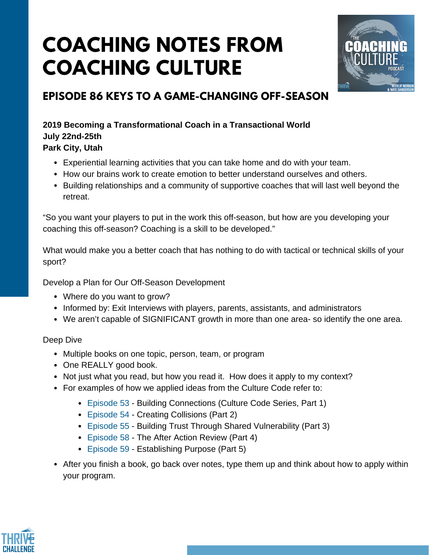## **COACHING NOTES FROM COACHING CULTURE**



## **EPISODE 86 KEYS TO A GAME-CHANGING OFF-SEASON**

**2019 Becoming a Transformational Coach in a Transactional World July 22nd-25th Park City, Utah**

- Experiential learning activities that you can take home and do with your team.
- How our brains work to create emotion to better understand ourselves and others.
- Building relationships and a community of supportive coaches that will last well beyond the retreat.

"So you want your players to put in the work this off-season, but how are you developing your coaching this off-season? Coaching is a skill to be developed."

What would make you a better coach that has nothing to do with tactical or technical skills of your sport?

Develop a Plan for Our Off-Season Development

- Where do you want to grow?
- Informed by: Exit Interviews with players, parents, assistants, and administrators
- We aren't capable of SIGNIFICANT growth in more than one area- so identify the one area.

Deep Dive

- Multiple books on one topic, person, team, or program
- One REALLY good book.
- Not just what you read, but how you read it. How does it apply to my context?
- For examples of how we applied ideas from the Culture Code refer to:
	- [Episode](https://www.podbean.com/media/share/dir-ksnui-4af437e) 53 Building Connections (Culture Code Series, Part 1)
	- [Episode](https://www.podbean.com/media/share/dir-n58qg-4bb229f) 54 Creating Collisions (Part 2)
	- [Episode](https://www.podbean.com/media/share/dir-35ib5-4c66a28) 55 Building Trust Through Shared Vulnerability (Part 3)
	- [Episode](https://www.podbean.com/media/share/dir-3qnhs-4ebb494) 58 The After Action Review (Part 4)
	- [Episode](https://www.podbean.com/media/share/dir-2j4cp-4f7e21c) 59 Establishing Purpose (Part 5)
- After you finish a book, go back over notes, type them up and think about how to apply within your program.